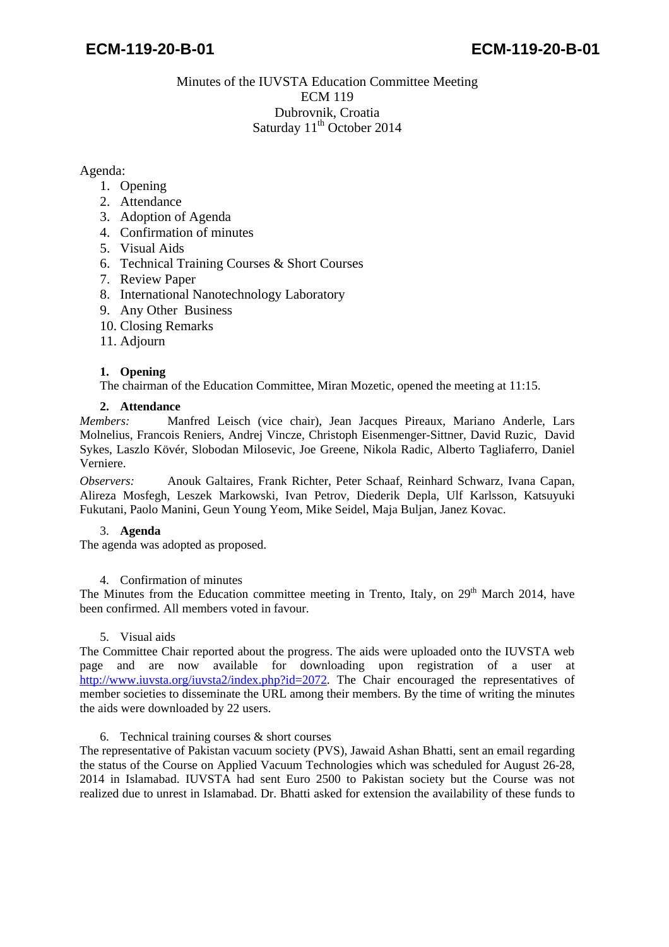## Minutes of the IUVSTA Education Committee Meeting ECM 119 Dubrovnik, Croatia Saturday  $11<sup>th</sup>$  October 2014

### Agenda:

- 1. Opening
- 2. Attendance
- 3. Adoption of Agenda
- 4. Confirmation of minutes
- 5. Visual Aids
- 6. Technical Training Courses & Short Courses
- 7. Review Paper
- 8. International Nanotechnology Laboratory
- 9. Any Other Business
- 10. Closing Remarks
- 11. Adjourn

## **1. Opening**

The chairman of the Education Committee, Miran Mozetic, opened the meeting at 11:15.

#### **2. Attendance**

*Members:* Manfred Leisch (vice chair), Jean Jacques Pireaux, Mariano Anderle, Lars Molnelius, Francois Reniers, Andrej Vincze, Christoph Eisenmenger-Sittner, David Ruzic, David Sykes, Laszlo Kövér, Slobodan Milosevic, Joe Greene, Nikola Radic, Alberto Tagliaferro, Daniel Verniere.

*Observers:* Anouk Galtaires, Frank Richter, Peter Schaaf, Reinhard Schwarz, Ivana Capan, Alireza Mosfegh, Leszek Markowski, Ivan Petrov, Diederik Depla, Ulf Karlsson, Katsuyuki Fukutani, Paolo Manini, Geun Young Yeom, Mike Seidel, Maja Buljan, Janez Kovac.

#### 3. **Agenda**

The agenda was adopted as proposed.

#### 4. Confirmation of minutes

The Minutes from the Education committee meeting in Trento, Italy, on 29<sup>th</sup> March 2014, have been confirmed. All members voted in favour.

## 5. Visual aids

The Committee Chair reported about the progress. The aids were uploaded onto the IUVSTA web page and are now available for downloading upon registration of a user at [http://www.iuvsta.org/iuvsta2/index.php?id=2072.](http://www.iuvsta.org/iuvsta2/index.php?id=2072) The Chair encouraged the representatives of member societies to disseminate the URL among their members. By the time of writing the minutes the aids were downloaded by 22 users.

#### 6. Technical training courses & short courses

The representative of Pakistan vacuum society (PVS), Jawaid Ashan Bhatti, sent an email regarding the status of the Course on Applied Vacuum Technologies which was scheduled for August 26-28, 2014 in Islamabad. IUVSTA had sent Euro 2500 to Pakistan society but the Course was not realized due to unrest in Islamabad. Dr. Bhatti asked for extension the availability of these funds to